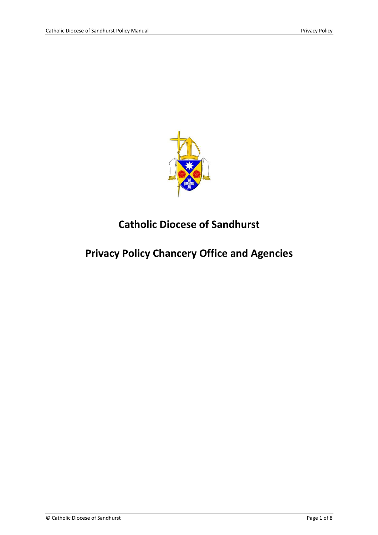

# **Catholic Diocese of Sandhurst**

# **Privacy Policy Chancery Office and Agencies**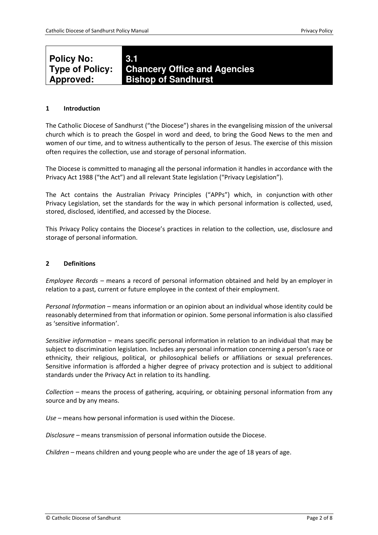# **Type of Policy: 3.1 Chancery Office and Agencies Bishop of Sandhurst**

# **1 Introduction**

**Policy No:** 

**Approved:** 

The Catholic Diocese of Sandhurst ("the Diocese") shares in the evangelising mission of the universal church which is to preach the Gospel in word and deed, to bring the Good News to the men and women of our time, and to witness authentically to the person of Jesus. The exercise of this mission often requires the collection, use and storage of personal information.

The Diocese is committed to managing all the personal information it handles in accordance with the Privacy Act 1988 ("the Act") and all relevant State legislation ("Privacy Legislation").

The Act contains the Australian Privacy Principles ("APPs") which, in conjunction with other Privacy Legislation, set the standards for the way in which personal information is collected, used, stored, disclosed, identified, and accessed by the Diocese.

This Privacy Policy contains the Diocese's practices in relation to the collection, use, disclosure and storage of personal information.

#### **2 Definitions**

*Employee Records –* means a record of personal information obtained and held by an employer in relation to a past, current or future employee in the context of their employment.

*Personal Information –* means information or an opinion about an individual whose identity could be reasonably determined from that information or opinion. Some personal information is also classified as 'sensitive information'.

*Sensitive information –* means specific personal information in relation to an individual that may be subject to discrimination legislation. Includes any personal information concerning a person's race or ethnicity, their religious, political, or philosophical beliefs or affiliations or sexual preferences. Sensitive information is afforded a higher degree of privacy protection and is subject to additional standards under the Privacy Act in relation to its handling.

*Collection –* means the process of gathering, acquiring, or obtaining personal information from any source and by any means.

*Use –* means how personal information is used within the Diocese.

*Disclosure –* means transmission of personal information outside the Diocese.

*Children –* means children and young people who are under the age of 18 years of age.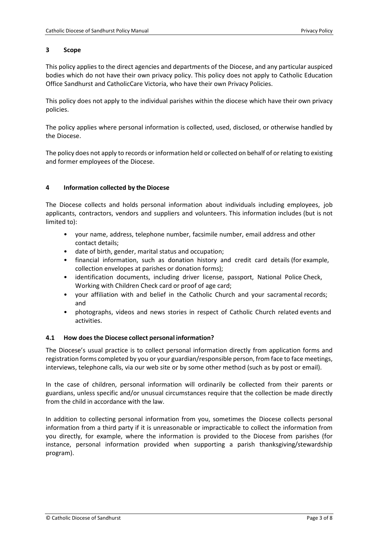# **3 Scope**

This policy applies to the direct agencies and departments of the Diocese, and any particular auspiced bodies which do not have their own privacy policy. This policy does not apply to Catholic Education Office Sandhurst and CatholicCare Victoria, who have their own Privacy Policies.

This policy does not apply to the individual parishes within the diocese which have their own privacy policies.

The policy applies where personal information is collected, used, disclosed, or otherwise handled by the Diocese.

The policy does not apply to records or information held or collected on behalf of or relating to existing and former employees of the Diocese.

# **4 Information collected by the Diocese**

The Diocese collects and holds personal information about individuals including employees, job applicants, contractors, vendors and suppliers and volunteers. This information includes (but is not limited to):

- your name, address, telephone number, facsimile number, email address and other contact details;
- date of birth, gender, marital status and occupation;
- financial information, such as donation history and credit card details (for example, collection envelopes at parishes or donation forms);
- identification documents, including driver license, passport, National Police Check, Working with Children Check card or proof of age card;
- your affiliation with and belief in the Catholic Church and your sacramental records; and
- photographs, videos and news stories in respect of Catholic Church related events and activities.

#### **4.1 How does the Diocese collect personal information?**

The Diocese's usual practice is to collect personal information directly from application forms and registration forms completed by you or your guardian/responsible person, from face to face meetings, interviews, telephone calls, via our web site or by some other method (such as by post or email).

In the case of children, personal information will ordinarily be collected from their parents or guardians, unless specific and/or unusual circumstances require that the collection be made directly from the child in accordance with the law.

In addition to collecting personal information from you, sometimes the Diocese collects personal information from a third party if it is unreasonable or impracticable to collect the information from you directly, for example, where the information is provided to the Diocese from parishes (for instance, personal information provided when supporting a parish thanksgiving/stewardship program).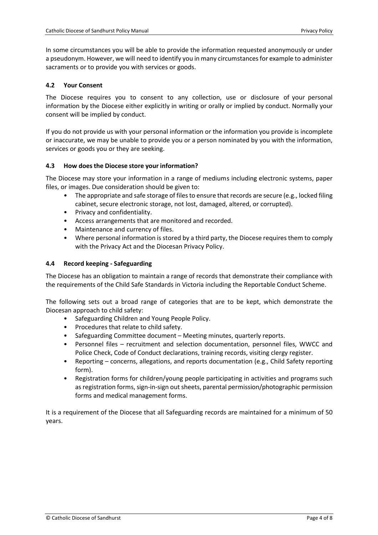In some circumstances you will be able to provide the information requested anonymously or under a pseudonym. However, we will need to identify you in many circumstances for example to administer sacraments or to provide you with services or goods.

# **4.2 Your Consent**

The Diocese requires you to consent to any collection, use or disclosure of your personal information by the Diocese either explicitly in writing or orally or implied by conduct. Normally your consent will be implied by conduct.

If you do not provide us with your personal information or the information you provide is incomplete or inaccurate, we may be unable to provide you or a person nominated by you with the information, services or goods you or they are seeking.

# **4.3 How does the Diocese store your information?**

The Diocese may store your information in a range of mediums including electronic systems, paper files, or images. Due consideration should be given to:

- The appropriate and safe storage of files to ensure that records are secure (e.g., locked filing cabinet, secure electronic storage, not lost, damaged, altered, or corrupted).
- Privacy and confidentiality.
- Access arrangements that are monitored and recorded.
- Maintenance and currency of files.
- Where personal information is stored by a third party, the Diocese requires them to comply with the Privacy Act and the Diocesan Privacy Policy.

#### **4.4 Record keeping - Safeguarding**

The Diocese has an obligation to maintain a range of records that demonstrate their compliance with the requirements of the Child Safe Standards in Victoria including the Reportable Conduct Scheme.

The following sets out a broad range of categories that are to be kept, which demonstrate the Diocesan approach to child safety:

- Safeguarding Children and Young People Policy.
- Procedures that relate to child safety.
- Safeguarding Committee document Meeting minutes, quarterly reports.
- Personnel files recruitment and selection documentation, personnel files, WWCC and Police Check, Code of Conduct declarations, training records, visiting clergy register.
- Reporting concerns, allegations, and reports documentation (e.g., Child Safety reporting form).
- Registration forms for children/young people participating in activities and programs such as registration forms, sign-in-sign out sheets, parental permission/photographic permission forms and medical management forms.

It is a requirement of the Diocese that all Safeguarding records are maintained for a minimum of 50 years.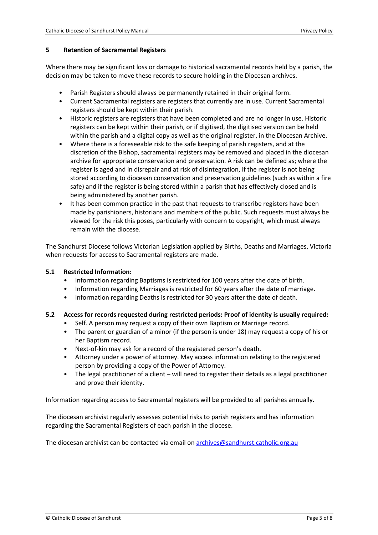#### **5 Retention of Sacramental Registers**

Where there may be significant loss or damage to historical sacramental records held by a parish, the decision may be taken to move these records to secure holding in the Diocesan archives.

- Parish Registers should always be permanently retained in their original form.
- Current Sacramental registers are registers that currently are in use. Current Sacramental registers should be kept within their parish.
- Historic registers are registers that have been completed and are no longer in use. Historic registers can be kept within their parish, or if digitised, the digitised version can be held within the parish and a digital copy as well as the original register, in the Diocesan Archive.
- Where there is a foreseeable risk to the safe keeping of parish registers, and at the discretion of the Bishop, sacramental registers may be removed and placed in the diocesan archive for appropriate conservation and preservation. A risk can be defined as; where the register is aged and in disrepair and at risk of disintegration, if the register is not being stored according to diocesan conservation and preservation guidelines (such as within a fire safe) and if the register is being stored within a parish that has effectively closed and is being administered by another parish.
- It has been common practice in the past that requests to transcribe registers have been made by parishioners, historians and members of the public. Such requests must always be viewed for the risk this poses, particularly with concern to copyright, which must always remain with the diocese.

The Sandhurst Diocese follows Victorian Legislation applied by Births, Deaths and Marriages, Victoria when requests for access to Sacramental registers are made.

#### **5.1 Restricted Information:**

- Information regarding Baptisms is restricted for 100 years after the date of birth.
- Information regarding Marriages is restricted for 60 years after the date of marriage.
- Information regarding Deaths is restricted for 30 years after the date of death.

#### **5.2 Access for records requested during restricted periods: Proof of identity is usually required:**

- Self. A person may request a copy of their own Baptism or Marriage record.
- The parent or guardian of a minor (if the person is under 18) may request a copy of his or her Baptism record.
- Next-of-kin may ask for a record of the registered person's death.
- Attorney under a power of attorney. May access information relating to the registered person by providing a copy of the Power of Attorney.
- The legal practitioner of a client will need to register their details as a legal practitioner and prove their identity.

Information regarding access to Sacramental registers will be provided to all parishes annually.

The diocesan archivist regularly assesses potential risks to parish registers and has information regarding the Sacramental Registers of each parish in the diocese.

The diocesan archivist can be contacted via email on archives@sandhurst.catholic.org.au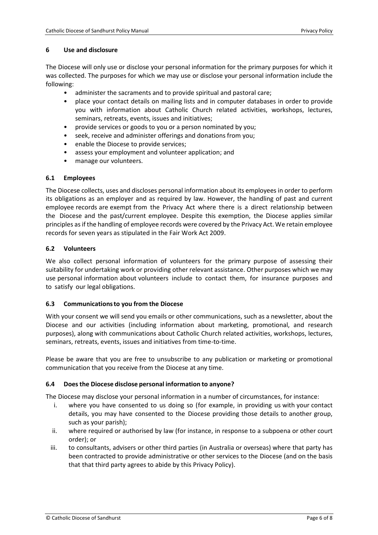#### **6 Use and disclosure**

The Diocese will only use or disclose your personal information for the primary purposes for which it was collected. The purposes for which we may use or disclose your personal information include the following:

- administer the sacraments and to provide spiritual and pastoral care;
- place your contact details on mailing lists and in computer databases in order to provide you with information about Catholic Church related activities, workshops, lectures, seminars, retreats, events, issues and initiatives;
- provide services or goods to you or a person nominated by you;
- seek, receive and administer offerings and donations from you;
- enable the Diocese to provide services;
- assess your employment and volunteer application; and
- manage our volunteers.

# **6.1 Employees**

The Diocese collects, uses and discloses personal information about its employees in order to perform its obligations as an employer and as required by law. However, the handling of past and current employee records are exempt from the Privacy Act where there is a direct relationship between the Diocese and the past/current employee. Despite this exemption, the Diocese applies similar principles as if the handling of employee records were covered by the Privacy Act. We retain employee records for seven years as stipulated in the Fair Work Act 2009.

# **6.2 Volunteers**

We also collect personal information of volunteers for the primary purpose of assessing their suitability for undertaking work or providing other relevant assistance. Other purposes which we may use personal information about volunteers include to contact them, for insurance purposes and to satisfy our legal obligations.

#### **6.3 Communications to you from the Diocese**

With your consent we will send you emails or other communications, such as a newsletter, about the Diocese and our activities (including information about marketing, promotional, and research purposes), along with communications about Catholic Church related activities, workshops, lectures, seminars, retreats, events, issues and initiatives from time-to-time.

Please be aware that you are free to unsubscribe to any publication or marketing or promotional communication that you receive from the Diocese at any time.

# **6.4 Does the Diocese disclose personal information to anyone?**

The Diocese may disclose your personal information in a number of circumstances, for instance:

- i. where you have consented to us doing so (for example, in providing us with your contact details, you may have consented to the Diocese providing those details to another group, such as your parish);
- ii. where required or authorised by law (for instance, in response to a subpoena or other court order); or
- iii. to consultants, advisers or other third parties (in Australia or overseas) where that party has been contracted to provide administrative or other services to the Diocese (and on the basis that that third party agrees to abide by this Privacy Policy).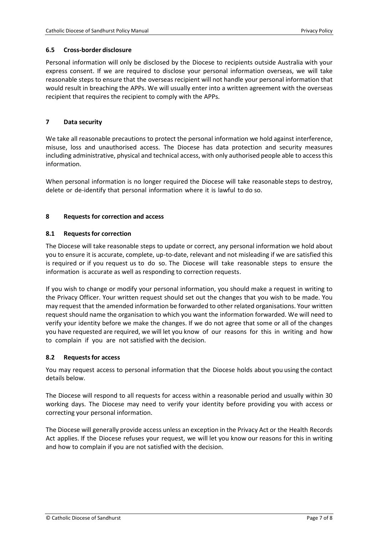# **6.5 Cross-border disclosure**

Personal information will only be disclosed by the Diocese to recipients outside Australia with your express consent. If we are required to disclose your personal information overseas, we will take reasonable steps to ensure that the overseas recipient will not handle your personal information that would result in breaching the APPs. We will usually enter into a written agreement with the overseas recipient that requires the recipient to comply with the APPs.

# **7 Data security**

We take all reasonable precautions to protect the personal information we hold against interference, misuse, loss and unauthorised access. The Diocese has data protection and security measures including administrative, physical and technical access, with only authorised people able to access this information.

When personal information is no longer required the Diocese will take reasonable steps to destroy, delete or de-identify that personal information where it is lawful to do so.

# **8 Requests for correction and access**

# **8.1 Requests for correction**

The Diocese will take reasonable steps to update or correct, any personal information we hold about you to ensure it is accurate, complete, up-to-date, relevant and not misleading if we are satisfied this is required or if you request us to do so. The Diocese will take reasonable steps to ensure the information is accurate as well as responding to correction requests.

If you wish to change or modify your personal information, you should make a request in writing to the Privacy Officer. Your written request should set out the changes that you wish to be made. You may request that the amended information be forwarded to other related organisations. Your written request should name the organisation to which you want the information forwarded. We will need to verify your identity before we make the changes. If we do not agree that some or all of the changes you have requested are required, we will let you know of our reasons for this in writing and how to complain if you are not satisfied with the decision.

#### **8.2 Requests for access**

You may request access to personal information that the Diocese holds about you using the contact details below.

The Diocese will respond to all requests for access within a reasonable period and usually within 30 working days. The Diocese may need to verify your identity before providing you with access or correcting your personal information.

The Diocese will generally provide access unless an exception in the Privacy Act or the Health Records Act applies. If the Diocese refuses your request, we will let you know our reasons for this in writing and how to complain if you are not satisfied with the decision.